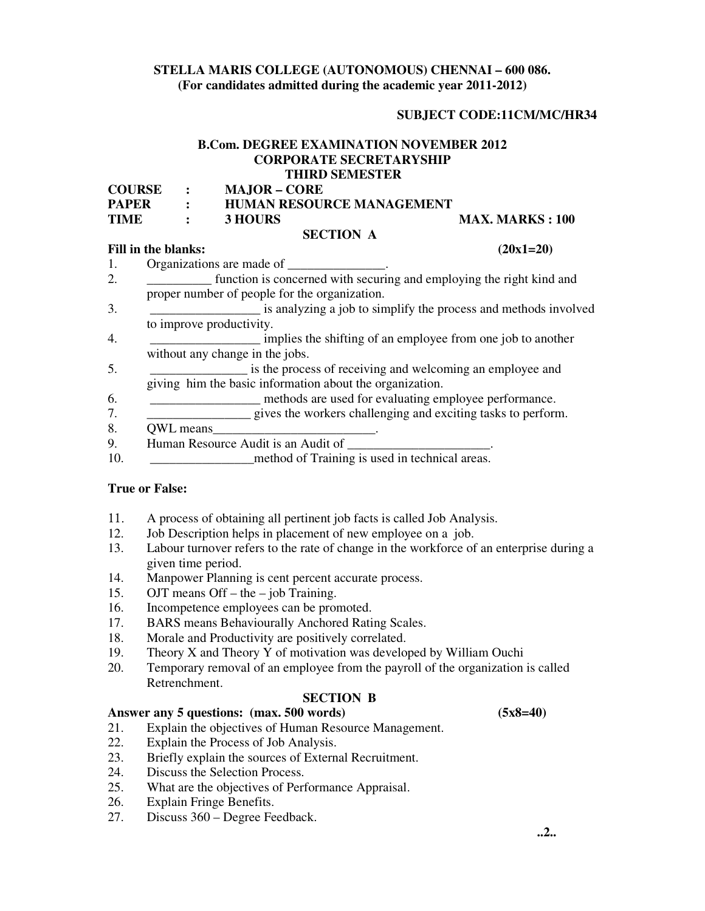# **STELLA MARIS COLLEGE (AUTONOMOUS) CHENNAI – 600 086. (For candidates admitted during the academic year 2011-2012)**

#### **SUBJECT CODE:11CM/MC/HR34**

# **B.Com. DEGREE EXAMINATION NOVEMBER 2012 CORPORATE SECRETARYSHIP THIRD SEMESTER**

| <b>COURSE</b> | $\sim$ $\sim$ $\sim$ | <b>MAJOR – CORE</b>              |                         |
|---------------|----------------------|----------------------------------|-------------------------|
| <b>PAPER</b>  |                      | <b>HUMAN RESOURCE MANAGEMENT</b> |                         |
| <b>TIME</b>   |                      | 3 HOURS                          | <b>MAX. MARKS : 100</b> |
|               |                      | <b>SECTION A</b>                 |                         |

#### **Fill in the blanks:** (20x1=20)

- 1. Organizations are made of 2. \_\_\_\_\_\_\_\_\_\_\_ function is concerned with securing and employing the right kind and proper number of people for the organization. 3.  $\frac{3}{2}$  is analyzing a job to simplify the process and methods involved to improve productivity. 4. \_\_\_\_\_\_\_\_\_\_\_\_\_\_\_\_\_ implies the shifting of an employee from one job to another without any change in the jobs. 5. \_\_\_\_\_\_\_\_\_\_\_\_\_\_\_ is the process of receiving and welcoming an employee and giving him the basic information about the organization. 6. \_\_\_\_\_\_\_\_\_\_\_\_\_\_\_\_\_ methods are used for evaluating employee performance. 7. \_\_\_\_\_\_\_\_\_\_\_\_\_\_\_\_ gives the workers challenging and exciting tasks to perform. 8. OWL means
- 
- 9. Human Resource Audit is an Audit of
- 10. **In the method of Training is used in technical areas.**

#### **True or False:**

- 11. A process of obtaining all pertinent job facts is called Job Analysis.
- 12. Job Description helps in placement of new employee on a job.
- 13. Labour turnover refers to the rate of change in the workforce of an enterprise during a given time period.
- 14. Manpower Planning is cent percent accurate process.
- 15. OJT means Off the job Training.
- 16. Incompetence employees can be promoted.
- 17. BARS means Behaviourally Anchored Rating Scales.
- 18. Morale and Productivity are positively correlated.
- 19. Theory X and Theory Y of motivation was developed by William Ouchi
- 20. Temporary removal of an employee from the payroll of the organization is called Retrenchment.

#### **SECTION B**

## **Answer any 5 questions: (max. 500 words) (5x8=40)**

- 21. Explain the objectives of Human Resource Management.
- 22. Explain the Process of Job Analysis.
- 23. Briefly explain the sources of External Recruitment.
- 24. Discuss the Selection Process.
- 25. What are the objectives of Performance Appraisal.
- 26. Explain Fringe Benefits.
- 27. Discuss 360 Degree Feedback.

 **..2..**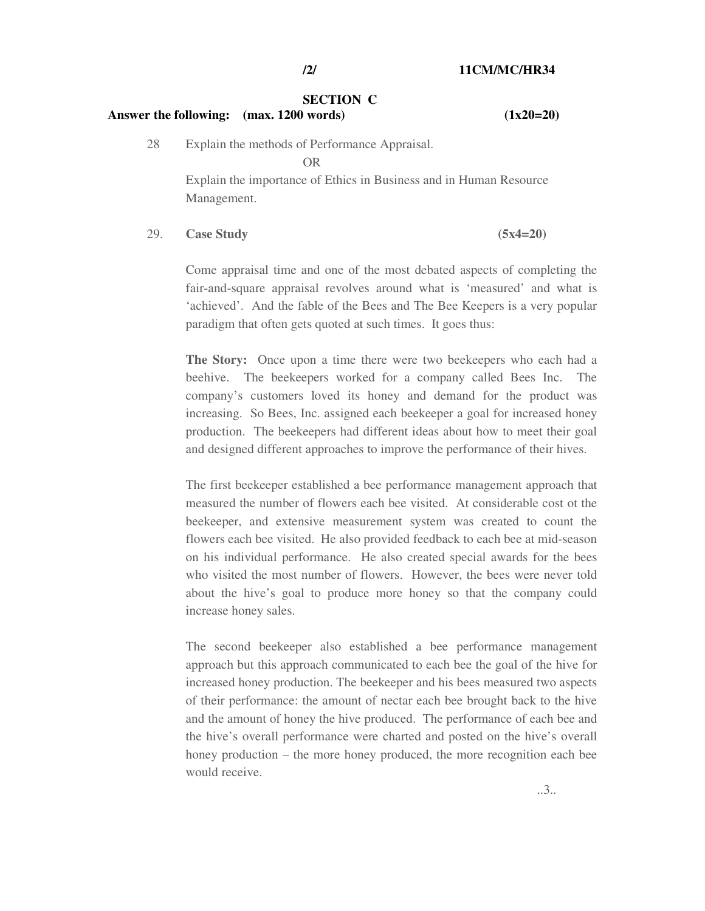#### **SECTION C**

#### **Answer the following: (max. 1200 words) (1x20=20)**

28 Explain the methods of Performance Appraisal.

OR

 Explain the importance of Ethics in Business and in Human Resource Management.

## 29. **Case Study (5x4=20)**

Come appraisal time and one of the most debated aspects of completing the fair-and-square appraisal revolves around what is 'measured' and what is 'achieved'. And the fable of the Bees and The Bee Keepers is a very popular paradigm that often gets quoted at such times. It goes thus:

**The Story:** Once upon a time there were two beekeepers who each had a beehive. The beekeepers worked for a company called Bees Inc. The company's customers loved its honey and demand for the product was increasing. So Bees, Inc. assigned each beekeeper a goal for increased honey production. The beekeepers had different ideas about how to meet their goal and designed different approaches to improve the performance of their hives.

The first beekeeper established a bee performance management approach that measured the number of flowers each bee visited. At considerable cost ot the beekeeper, and extensive measurement system was created to count the flowers each bee visited. He also provided feedback to each bee at mid-season on his individual performance. He also created special awards for the bees who visited the most number of flowers. However, the bees were never told about the hive's goal to produce more honey so that the company could increase honey sales.

The second beekeeper also established a bee performance management approach but this approach communicated to each bee the goal of the hive for increased honey production. The beekeeper and his bees measured two aspects of their performance: the amount of nectar each bee brought back to the hive and the amount of honey the hive produced. The performance of each bee and the hive's overall performance were charted and posted on the hive's overall honey production – the more honey produced, the more recognition each bee would receive.